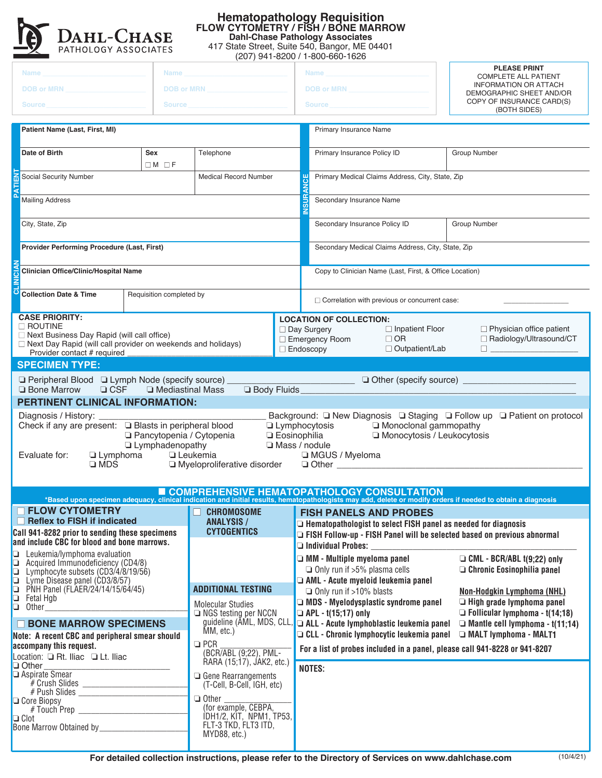

## **Hematopathology Requisition FLOW CYTOMETRY / FISH / BONE MARROW Dahl-Chase Pathology Associates**

417 State Street, Suite 540, Bangor, ME 04401

| (207) 941-8200 / 1-800-660-1626                                                                                                                                                                                                                                                                                                                                                                                                                                                             |                                                                      |                                                                               |  |                                                                                                                                                                                                                                     |                                                                                                                                                                                                                    |                                                                 |  |  |  |  |
|---------------------------------------------------------------------------------------------------------------------------------------------------------------------------------------------------------------------------------------------------------------------------------------------------------------------------------------------------------------------------------------------------------------------------------------------------------------------------------------------|----------------------------------------------------------------------|-------------------------------------------------------------------------------|--|-------------------------------------------------------------------------------------------------------------------------------------------------------------------------------------------------------------------------------------|--------------------------------------------------------------------------------------------------------------------------------------------------------------------------------------------------------------------|-----------------------------------------------------------------|--|--|--|--|
| <b>Name</b><br>Name                                                                                                                                                                                                                                                                                                                                                                                                                                                                         |                                                                      |                                                                               |  | <b>Name</b>                                                                                                                                                                                                                         |                                                                                                                                                                                                                    | <b>PLEASE PRINT</b>                                             |  |  |  |  |
|                                                                                                                                                                                                                                                                                                                                                                                                                                                                                             |                                                                      | <b>DOB or MRN</b>                                                             |  | <b>DOB or MRN</b>                                                                                                                                                                                                                   |                                                                                                                                                                                                                    | <b>COMPLETE ALL PATIENT</b><br><b>INFORMATION OR ATTACH</b>     |  |  |  |  |
| DOB or MRN <b>Example 2018</b>                                                                                                                                                                                                                                                                                                                                                                                                                                                              |                                                                      |                                                                               |  |                                                                                                                                                                                                                                     |                                                                                                                                                                                                                    | DEMOGRAPHIC SHEET AND/OR<br>COPY OF INSURANCE CARD(S)           |  |  |  |  |
| Source in the contract of the contract of the contract of the contract of the contract of the contract of the<br><b>Source</b>                                                                                                                                                                                                                                                                                                                                                              |                                                                      |                                                                               |  |                                                                                                                                                                                                                                     | <b>Source Source</b><br>(BOTH SIDES)                                                                                                                                                                               |                                                                 |  |  |  |  |
| Patient Name (Last, First, MI)                                                                                                                                                                                                                                                                                                                                                                                                                                                              |                                                                      |                                                                               |  | Primary Insurance Name                                                                                                                                                                                                              |                                                                                                                                                                                                                    |                                                                 |  |  |  |  |
| Date of Birth<br>Sex<br>$\Box M$ $\Box F$                                                                                                                                                                                                                                                                                                                                                                                                                                                   |                                                                      | Telephone                                                                     |  |                                                                                                                                                                                                                                     | Primary Insurance Policy ID                                                                                                                                                                                        | Group Number                                                    |  |  |  |  |
| Social Security Number<br><b>Medical Record Number</b>                                                                                                                                                                                                                                                                                                                                                                                                                                      |                                                                      |                                                                               |  | Primary Medical Claims Address, City, State, Zip                                                                                                                                                                                    |                                                                                                                                                                                                                    |                                                                 |  |  |  |  |
| <b>Mailing Address</b>                                                                                                                                                                                                                                                                                                                                                                                                                                                                      |                                                                      |                                                                               |  | <b>INSURANCE</b><br>Secondary Insurance Name                                                                                                                                                                                        |                                                                                                                                                                                                                    |                                                                 |  |  |  |  |
| City, State, Zip                                                                                                                                                                                                                                                                                                                                                                                                                                                                            |                                                                      |                                                                               |  | Group Number<br>Secondary Insurance Policy ID                                                                                                                                                                                       |                                                                                                                                                                                                                    |                                                                 |  |  |  |  |
| Provider Performing Procedure (Last, First)                                                                                                                                                                                                                                                                                                                                                                                                                                                 |                                                                      |                                                                               |  | Secondary Medical Claims Address, City, State, Zip                                                                                                                                                                                  |                                                                                                                                                                                                                    |                                                                 |  |  |  |  |
| <b>Clinician Office/Clinic/Hospital Name</b>                                                                                                                                                                                                                                                                                                                                                                                                                                                |                                                                      |                                                                               |  | Copy to Clinician Name (Last, First, & Office Location)                                                                                                                                                                             |                                                                                                                                                                                                                    |                                                                 |  |  |  |  |
| <b>Collection Date &amp; Time</b>                                                                                                                                                                                                                                                                                                                                                                                                                                                           | Requisition completed by                                             |                                                                               |  | $\Box$ Correlation with previous or concurrent case:                                                                                                                                                                                |                                                                                                                                                                                                                    |                                                                 |  |  |  |  |
| <b>CASE PRIORITY:</b>                                                                                                                                                                                                                                                                                                                                                                                                                                                                       |                                                                      |                                                                               |  |                                                                                                                                                                                                                                     | <b>LOCATION OF COLLECTION:</b>                                                                                                                                                                                     |                                                                 |  |  |  |  |
| $\Box$ ROUTINE<br>□ Next Business Day Rapid (will call office)<br>□ Next Day Rapid (will call provider on weekends and holidays)<br>Provider contact # required                                                                                                                                                                                                                                                                                                                             |                                                                      |                                                                               |  | $\Box$ Inpatient Floor<br>$\Box$ Physician office patient<br>□ Day Surgery<br>Emergency Room<br>$\Box$ OR<br>□ Radiology/Ultrasound/CT<br>□ Outpatient/Lab<br>$\Box$ Endoscopy<br><u> The Communication of the Communication of</u> |                                                                                                                                                                                                                    |                                                                 |  |  |  |  |
| <b>SPECIMEN TYPE:</b>                                                                                                                                                                                                                                                                                                                                                                                                                                                                       |                                                                      |                                                                               |  |                                                                                                                                                                                                                                     |                                                                                                                                                                                                                    |                                                                 |  |  |  |  |
| $\Box$ Peripheral Blood $\Box$ Lymph Node (specify source)<br>Body Fluids_<br>$C$ CSF<br><b>Q</b> Bone Marrow<br><b>La</b> Mediastinal Mass                                                                                                                                                                                                                                                                                                                                                 |                                                                      |                                                                               |  |                                                                                                                                                                                                                                     |                                                                                                                                                                                                                    |                                                                 |  |  |  |  |
| PERTINENT CLINICAL INFORMATION:                                                                                                                                                                                                                                                                                                                                                                                                                                                             |                                                                      |                                                                               |  |                                                                                                                                                                                                                                     |                                                                                                                                                                                                                    |                                                                 |  |  |  |  |
| Diagnosis / History: _____<br>Background: ■ New Diagnosis ■ Staging ■ Follow up ■ Patient on protocol<br>Check if any are present: □ Blasts in peripheral blood<br><b>Lymphocytosis</b><br>Monoclonal gammopathy<br>Monocytosis / Leukocytosis<br>□ Pancytopenia / Cytopenia<br><b>Eosinophilia</b><br><b>Lymphadenopathy</b><br>Mass / nodule<br>Leukemia<br>□ MGUS / Myeloma<br>Evaluate for:<br>$\Box$ Lymphoma<br>$\square$ MDS<br>□ Myeloproliferative disorder<br>$\Box$ Other $\Box$ |                                                                      |                                                                               |  |                                                                                                                                                                                                                                     |                                                                                                                                                                                                                    |                                                                 |  |  |  |  |
|                                                                                                                                                                                                                                                                                                                                                                                                                                                                                             |                                                                      |                                                                               |  |                                                                                                                                                                                                                                     | <b>E COMPREHENSIVE HEMATOPATHOLOGY CONSULTATION</b><br>*Based upon specimen adequacy, clinical indication and initial results, hematopathologists may add, delete or modify orders if needed to obtain a diagnosis |                                                                 |  |  |  |  |
| <b>E FLOW CYTOMETRY</b>                                                                                                                                                                                                                                                                                                                                                                                                                                                                     |                                                                      | $\Box$ CHROMOSOME                                                             |  |                                                                                                                                                                                                                                     | <b>FISH PANELS AND PROBES</b>                                                                                                                                                                                      |                                                                 |  |  |  |  |
| Reflex to FISH if indicated                                                                                                                                                                                                                                                                                                                                                                                                                                                                 |                                                                      | <b>ANALYSIS /</b>                                                             |  | $\Box$ Hematopathologist to select FISH panel as needed for diagnosis                                                                                                                                                               |                                                                                                                                                                                                                    |                                                                 |  |  |  |  |
| and include CBC for blood and bone marrows.                                                                                                                                                                                                                                                                                                                                                                                                                                                 | <b>CYTOGENTICS</b><br>Call 941-8282 prior to sending these specimens |                                                                               |  | FISH Follow-up - FISH Panel will be selected based on previous abnormal<br>$\Box$ Individual Probes: $\Box$                                                                                                                         |                                                                                                                                                                                                                    |                                                                 |  |  |  |  |
| $\Box$ Leukemia/lymphoma evaluation<br>$\Box$ Acquired Immunodeficiency (CD4/8)<br>$\Box$ Lymphocyte subsets (CD3/4/8/19/56)                                                                                                                                                                                                                                                                                                                                                                |                                                                      |                                                                               |  |                                                                                                                                                                                                                                     | $\Box$ MM - Multiple myeloma panel<br>$\Box$ Only run if >5% plasma cells                                                                                                                                          | CML - BCR/ABL t(9;22) only<br>$\Box$ Chronic Eosinophilia panel |  |  |  |  |
| □ Lyme Disease panel (CD3/8/57)                                                                                                                                                                                                                                                                                                                                                                                                                                                             |                                                                      |                                                                               |  |                                                                                                                                                                                                                                     | $\Box$ AML - Acute myeloid leukemia panel                                                                                                                                                                          |                                                                 |  |  |  |  |
| $\Box$ PNH Panel (FLAER/24/14/15/64/45)<br>$\Box$ Fetal Hgb                                                                                                                                                                                                                                                                                                                                                                                                                                 | <b>ADDITIONAL TESTING</b>                                            |                                                                               |  |                                                                                                                                                                                                                                     | $\Box$ Only run if >10% blasts                                                                                                                                                                                     | Non-Hodgkin Lymphoma (NHL)                                      |  |  |  |  |
| <b>Molecular Studies</b><br>$\Box$ Other<br>$\Box$ NGS testing per NCCN                                                                                                                                                                                                                                                                                                                                                                                                                     |                                                                      |                                                                               |  | MDS - Myelodysplastic syndrome panel<br>$\Box$ APL - t(15;17) only                                                                                                                                                                  | $\Box$ High grade lymphoma panel<br>$\Box$ Follicular lymphoma - t(14;18)                                                                                                                                          |                                                                 |  |  |  |  |
| <b>BONE MARROW SPECIMENS</b>                                                                                                                                                                                                                                                                                                                                                                                                                                                                |                                                                      | guideline (AML, MDS, CLL,                                                     |  |                                                                                                                                                                                                                                     | $\Box$ ALL - Acute lymphoblastic leukemia panel                                                                                                                                                                    | $\Box$ Mantle cell lymphoma - t(11;14)                          |  |  |  |  |
| Note: A recent CBC and peripheral smear should                                                                                                                                                                                                                                                                                                                                                                                                                                              |                                                                      | MM, etc.)<br>$\Box$ PCR<br>(BCR/ABL (9;22), PML-<br>RARA (15;17), JAK2, etc.) |  |                                                                                                                                                                                                                                     | $\Box$ CLL - Chronic lymphocytic leukemia panel                                                                                                                                                                    | □ MALT lymphoma - MALT1                                         |  |  |  |  |
| accompany this request.<br>Location: Q Rt. Iliac Q Lt. Iliac                                                                                                                                                                                                                                                                                                                                                                                                                                |                                                                      |                                                                               |  | For a list of probes included in a panel, please call 941-8228 or 941-8207                                                                                                                                                          |                                                                                                                                                                                                                    |                                                                 |  |  |  |  |
| $\Box$ Other<br>Aspirate Smear                                                                                                                                                                                                                                                                                                                                                                                                                                                              | $\Box$ Gene Rearrangements                                           |                                                                               |  |                                                                                                                                                                                                                                     | <b>NOTES:</b>                                                                                                                                                                                                      |                                                                 |  |  |  |  |
|                                                                                                                                                                                                                                                                                                                                                                                                                                                                                             |                                                                      | (T-Cell, B-Cell, IGH, etc)                                                    |  |                                                                                                                                                                                                                                     |                                                                                                                                                                                                                    |                                                                 |  |  |  |  |
| $\Box$ Other $\Box$<br><b>□</b> Core Biopsy<br>(for example, CEBPA,                                                                                                                                                                                                                                                                                                                                                                                                                         |                                                                      |                                                                               |  |                                                                                                                                                                                                                                     |                                                                                                                                                                                                                    |                                                                 |  |  |  |  |
| # Touch Prep ________________________<br>IDH1/2, KIT, NPM1, TP53,                                                                                                                                                                                                                                                                                                                                                                                                                           |                                                                      |                                                                               |  |                                                                                                                                                                                                                                     |                                                                                                                                                                                                                    |                                                                 |  |  |  |  |
| $\Box$ Clot                                                                                                                                                                                                                                                                                                                                                                                                                                                                                 |                                                                      | FLT-3 TKD, FLT3 ITD,                                                          |  |                                                                                                                                                                                                                                     |                                                                                                                                                                                                                    |                                                                 |  |  |  |  |